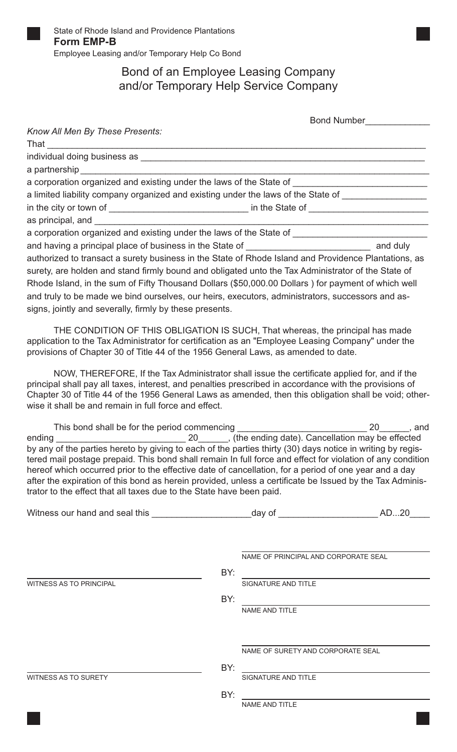

## Bond of an Employee Leasing Company and/or Temporary Help Service Company

Bond Number\_\_\_\_\_\_\_\_\_\_\_\_\_

| Know All Men By These Presents:                                                                                                                                                                                                                                                                                                                                                                                                                                                                                       |                   |                                                                                                                                                                       |  |
|-----------------------------------------------------------------------------------------------------------------------------------------------------------------------------------------------------------------------------------------------------------------------------------------------------------------------------------------------------------------------------------------------------------------------------------------------------------------------------------------------------------------------|-------------------|-----------------------------------------------------------------------------------------------------------------------------------------------------------------------|--|
|                                                                                                                                                                                                                                                                                                                                                                                                                                                                                                                       |                   |                                                                                                                                                                       |  |
|                                                                                                                                                                                                                                                                                                                                                                                                                                                                                                                       |                   |                                                                                                                                                                       |  |
| a corporation organized and existing under the laws of the State of ________________________________                                                                                                                                                                                                                                                                                                                                                                                                                  |                   |                                                                                                                                                                       |  |
| a limited liability company organized and existing under the laws of the State of _________________                                                                                                                                                                                                                                                                                                                                                                                                                   |                   |                                                                                                                                                                       |  |
| in the city or town of _________________________________ in the State of __________________________                                                                                                                                                                                                                                                                                                                                                                                                                   |                   |                                                                                                                                                                       |  |
|                                                                                                                                                                                                                                                                                                                                                                                                                                                                                                                       |                   |                                                                                                                                                                       |  |
| a corporation organized and existing under the laws of the State of ________________________________                                                                                                                                                                                                                                                                                                                                                                                                                  |                   |                                                                                                                                                                       |  |
|                                                                                                                                                                                                                                                                                                                                                                                                                                                                                                                       |                   |                                                                                                                                                                       |  |
| authorized to transact a surety business in the State of Rhode Island and Providence Plantations, as                                                                                                                                                                                                                                                                                                                                                                                                                  |                   |                                                                                                                                                                       |  |
| surety, are holden and stand firmly bound and obligated unto the Tax Administrator of the State of                                                                                                                                                                                                                                                                                                                                                                                                                    |                   |                                                                                                                                                                       |  |
| Rhode Island, in the sum of Fifty Thousand Dollars (\$50,000.00 Dollars) for payment of which well                                                                                                                                                                                                                                                                                                                                                                                                                    |                   |                                                                                                                                                                       |  |
|                                                                                                                                                                                                                                                                                                                                                                                                                                                                                                                       |                   |                                                                                                                                                                       |  |
| and truly to be made we bind ourselves, our heirs, executors, administrators, successors and as-                                                                                                                                                                                                                                                                                                                                                                                                                      |                   |                                                                                                                                                                       |  |
| signs, jointly and severally, firmly by these presents.                                                                                                                                                                                                                                                                                                                                                                                                                                                               |                   |                                                                                                                                                                       |  |
| THE CONDITION OF THIS OBLIGATION IS SUCH, That whereas, the principal has made<br>application to the Tax Administrator for certification as an "Employee Leasing Company" under the<br>provisions of Chapter 30 of Title 44 of the 1956 General Laws, as amended to date.                                                                                                                                                                                                                                             |                   |                                                                                                                                                                       |  |
| NOW, THEREFORE, If the Tax Administrator shall issue the certificate applied for, and if the<br>principal shall pay all taxes, interest, and penalties prescribed in accordance with the provisions of<br>Chapter 30 of Title 44 of the 1956 General Laws as amended, then this obligation shall be void; other-<br>wise it shall be and remain in full force and effect.                                                                                                                                             |                   |                                                                                                                                                                       |  |
|                                                                                                                                                                                                                                                                                                                                                                                                                                                                                                                       |                   |                                                                                                                                                                       |  |
| by any of the parties hereto by giving to each of the parties thirty (30) days notice in writing by regis-<br>tered mail postage prepaid. This bond shall remain In full force and effect for violation of any condition<br>hereof which occurred prior to the effective date of cancellation, for a period of one year and a day<br>after the expiration of this bond as herein provided, unless a certificate be Issued by the Tax Adminis-<br>trator to the effect that all taxes due to the State have been paid. |                   |                                                                                                                                                                       |  |
| Witness our hand and seal this __________________________day of ___________________________AD20_                                                                                                                                                                                                                                                                                                                                                                                                                      |                   |                                                                                                                                                                       |  |
| WITNESS AS TO PRINCIPAL                                                                                                                                                                                                                                                                                                                                                                                                                                                                                               | BY:<br>BY:<br>BY: | NAME OF PRINCIPAL AND CORPORATE SEAL<br>SIGNATURE AND TITLE<br>NAME AND TITLE<br>NAME OF SURETY AND CORPORATE SEAL<br><u> 1980 - Johann Barnett, fransk politik (</u> |  |
| WITNESS AS TO SURETY                                                                                                                                                                                                                                                                                                                                                                                                                                                                                                  |                   | SIGNATURE AND TITLE                                                                                                                                                   |  |
|                                                                                                                                                                                                                                                                                                                                                                                                                                                                                                                       | BY:               |                                                                                                                                                                       |  |
|                                                                                                                                                                                                                                                                                                                                                                                                                                                                                                                       |                   | NAME AND TITLE                                                                                                                                                        |  |
|                                                                                                                                                                                                                                                                                                                                                                                                                                                                                                                       |                   |                                                                                                                                                                       |  |
|                                                                                                                                                                                                                                                                                                                                                                                                                                                                                                                       |                   |                                                                                                                                                                       |  |